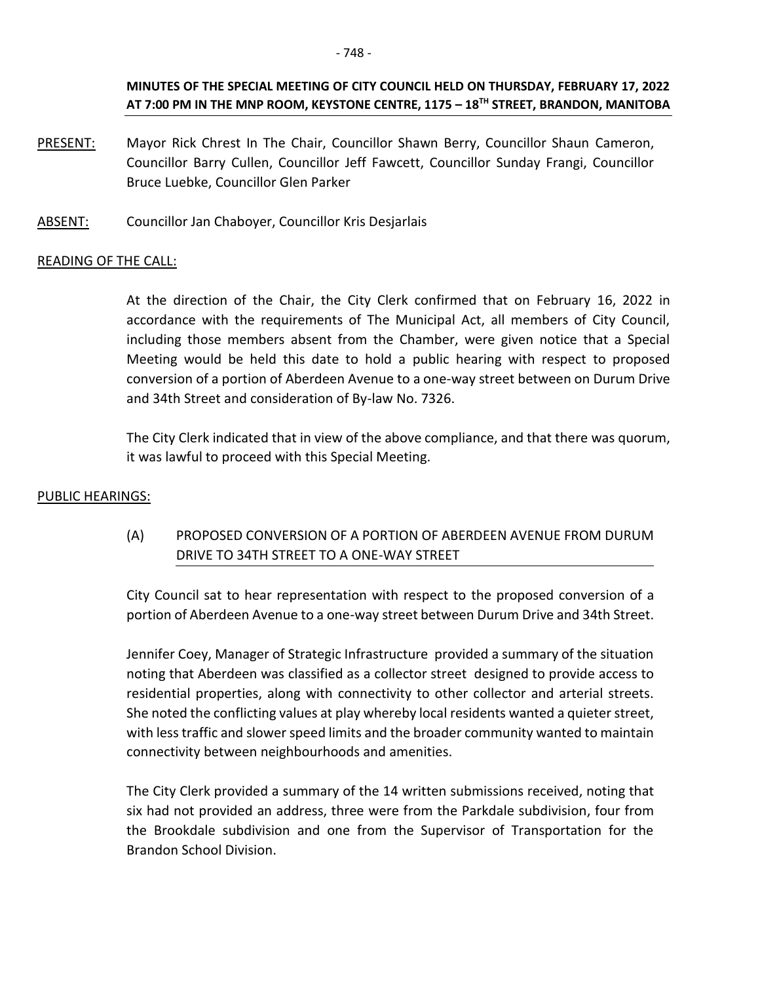### **MINUTES OF THE SPECIAL MEETING OF CITY COUNCIL HELD ON THURSDAY, FEBRUARY 17, 2022 AT 7:00 PM IN THE MNP ROOM, KEYSTONE CENTRE, 1175 – 18TH STREET, BRANDON, MANITOBA**

- PRESENT: Mayor Rick Chrest In The Chair, Councillor Shawn Berry, Councillor Shaun Cameron, Councillor Barry Cullen, Councillor Jeff Fawcett, Councillor Sunday Frangi, Councillor Bruce Luebke, Councillor Glen Parker
- ABSENT: Councillor Jan Chaboyer, Councillor Kris Desjarlais

### READING OF THE CALL:

At the direction of the Chair, the City Clerk confirmed that on February 16, 2022 in accordance with the requirements of The Municipal Act, all members of City Council, including those members absent from the Chamber, were given notice that a Special Meeting would be held this date to hold a public hearing with respect to proposed conversion of a portion of Aberdeen Avenue to a one-way street between on Durum Drive and 34th Street and consideration of By-law No. 7326.

The City Clerk indicated that in view of the above compliance, and that there was quorum, it was lawful to proceed with this Special Meeting.

#### PUBLIC HEARINGS:

# (A) PROPOSED CONVERSION OF A PORTION OF ABERDEEN AVENUE FROM DURUM DRIVE TO 34TH STREET TO A ONE-WAY STREET

City Council sat to hear representation with respect to the proposed conversion of a portion of Aberdeen Avenue to a one-way street between Durum Drive and 34th Street.

Jennifer Coey, Manager of Strategic Infrastructure provided a summary of the situation noting that Aberdeen was classified as a collector street designed to provide access to residential properties, along with connectivity to other collector and arterial streets. She noted the conflicting values at play whereby local residents wanted a quieter street, with less traffic and slower speed limits and the broader community wanted to maintain connectivity between neighbourhoods and amenities.

The City Clerk provided a summary of the 14 written submissions received, noting that six had not provided an address, three were from the Parkdale subdivision, four from the Brookdale subdivision and one from the Supervisor of Transportation for the Brandon School Division.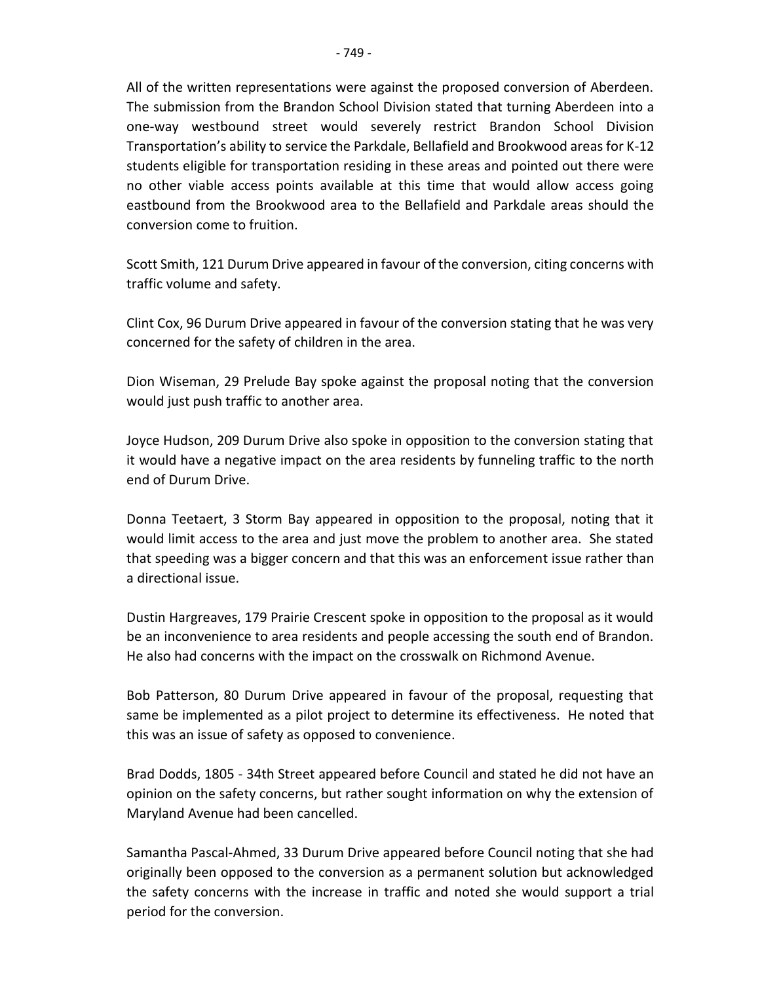All of the written representations were against the proposed conversion of Aberdeen. The submission from the Brandon School Division stated that turning Aberdeen into a one-way westbound street would severely restrict Brandon School Division Transportation's ability to service the Parkdale, Bellafield and Brookwood areas for K-12 students eligible for transportation residing in these areas and pointed out there were no other viable access points available at this time that would allow access going eastbound from the Brookwood area to the Bellafield and Parkdale areas should the conversion come to fruition.

Scott Smith, 121 Durum Drive appeared in favour of the conversion, citing concerns with traffic volume and safety.

Clint Cox, 96 Durum Drive appeared in favour of the conversion stating that he was very concerned for the safety of children in the area.

Dion Wiseman, 29 Prelude Bay spoke against the proposal noting that the conversion would just push traffic to another area.

Joyce Hudson, 209 Durum Drive also spoke in opposition to the conversion stating that it would have a negative impact on the area residents by funneling traffic to the north end of Durum Drive.

Donna Teetaert, 3 Storm Bay appeared in opposition to the proposal, noting that it would limit access to the area and just move the problem to another area. She stated that speeding was a bigger concern and that this was an enforcement issue rather than a directional issue.

Dustin Hargreaves, 179 Prairie Crescent spoke in opposition to the proposal as it would be an inconvenience to area residents and people accessing the south end of Brandon. He also had concerns with the impact on the crosswalk on Richmond Avenue.

Bob Patterson, 80 Durum Drive appeared in favour of the proposal, requesting that same be implemented as a pilot project to determine its effectiveness. He noted that this was an issue of safety as opposed to convenience.

Brad Dodds, 1805 - 34th Street appeared before Council and stated he did not have an opinion on the safety concerns, but rather sought information on why the extension of Maryland Avenue had been cancelled.

Samantha Pascal-Ahmed, 33 Durum Drive appeared before Council noting that she had originally been opposed to the conversion as a permanent solution but acknowledged the safety concerns with the increase in traffic and noted she would support a trial period for the conversion.